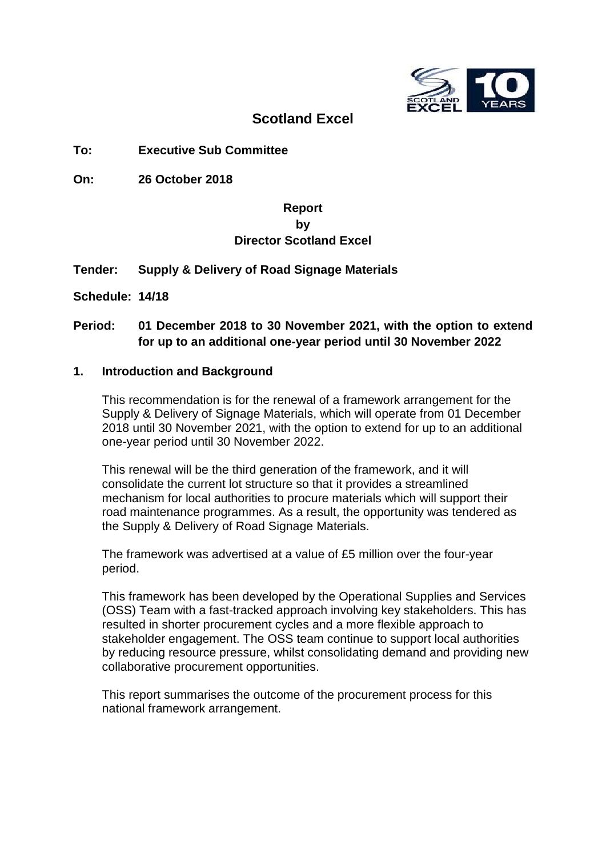

## **Scotland Excel**

## **To: Executive Sub Committee**

**On: 26 October 2018**

## **Report by Director Scotland Excel**

## **Tender: Supply & Delivery of Road Signage Materials**

**Schedule: 14/18**

## **Period: 01 December 2018 to 30 November 2021, with the option to extend for up to an additional one-year period until 30 November 2022**

#### **1. Introduction and Background**

This recommendation is for the renewal of a framework arrangement for the Supply & Delivery of Signage Materials, which will operate from 01 December 2018 until 30 November 2021, with the option to extend for up to an additional one-year period until 30 November 2022.

This renewal will be the third generation of the framework, and it will consolidate the current lot structure so that it provides a streamlined mechanism for local authorities to procure materials which will support their road maintenance programmes. As a result, the opportunity was tendered as the Supply & Delivery of Road Signage Materials.

The framework was advertised at a value of £5 million over the four-year period.

This framework has been developed by the Operational Supplies and Services (OSS) Team with a fast-tracked approach involving key stakeholders. This has resulted in shorter procurement cycles and a more flexible approach to stakeholder engagement. The OSS team continue to support local authorities by reducing resource pressure, whilst consolidating demand and providing new collaborative procurement opportunities.

This report summarises the outcome of the procurement process for this national framework arrangement.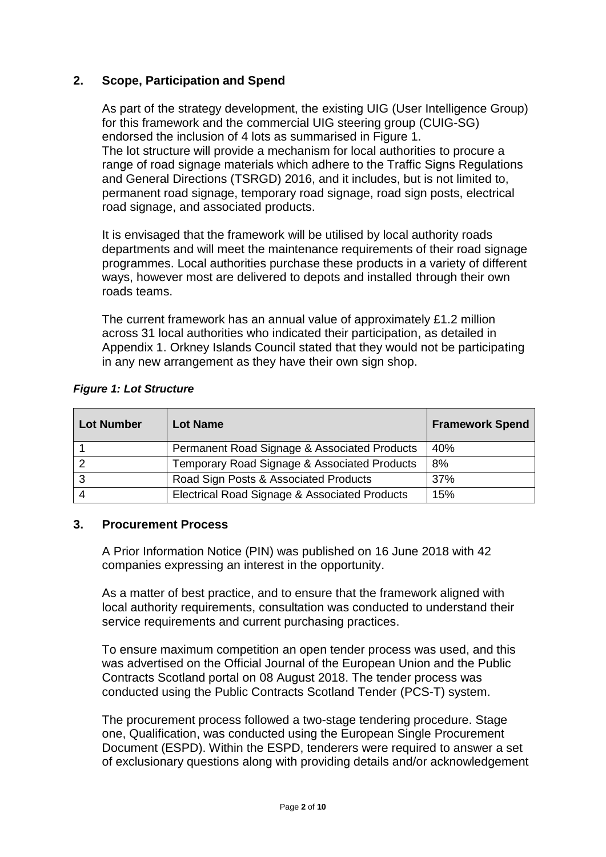## **2. Scope, Participation and Spend**

As part of the strategy development, the existing UIG (User Intelligence Group) for this framework and the commercial UIG steering group (CUIG-SG) endorsed the inclusion of 4 lots as summarised in Figure 1. The lot structure will provide a mechanism for local authorities to procure a range of road signage materials which adhere to the Traffic Signs Regulations and General Directions (TSRGD) 2016, and it includes, but is not limited to, permanent road signage, temporary road signage, road sign posts, electrical road signage, and associated products.

It is envisaged that the framework will be utilised by local authority roads departments and will meet the maintenance requirements of their road signage programmes. Local authorities purchase these products in a variety of different ways, however most are delivered to depots and installed through their own roads teams.

The current framework has an annual value of approximately £1.2 million across 31 local authorities who indicated their participation, as detailed in Appendix 1. Orkney Islands Council stated that they would not be participating in any new arrangement as they have their own sign shop.

|  |  |  | <b>Figure 1: Lot Structure</b> |
|--|--|--|--------------------------------|
|--|--|--|--------------------------------|

| <b>Lot Number</b> | <b>Lot Name</b>                               | <b>Framework Spend</b> |
|-------------------|-----------------------------------------------|------------------------|
|                   | Permanent Road Signage & Associated Products  | 40%                    |
|                   | Temporary Road Signage & Associated Products  | 8%                     |
|                   | Road Sign Posts & Associated Products         | 37%                    |
|                   | Electrical Road Signage & Associated Products | 15%                    |

#### **3. Procurement Process**

A Prior Information Notice (PIN) was published on 16 June 2018 with 42 companies expressing an interest in the opportunity.

As a matter of best practice, and to ensure that the framework aligned with local authority requirements, consultation was conducted to understand their service requirements and current purchasing practices.

To ensure maximum competition an open tender process was used, and this was advertised on the Official Journal of the European Union and the Public Contracts Scotland portal on 08 August 2018. The tender process was conducted using the Public Contracts Scotland Tender (PCS-T) system.

The procurement process followed a two-stage tendering procedure. Stage one, Qualification, was conducted using the European Single Procurement Document (ESPD). Within the ESPD, tenderers were required to answer a set of exclusionary questions along with providing details and/or acknowledgement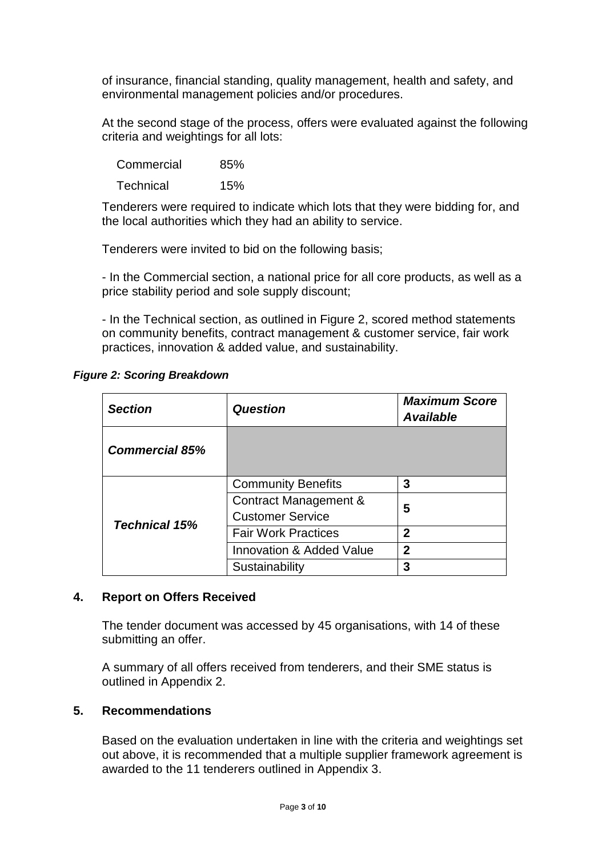of insurance, financial standing, quality management, health and safety, and environmental management policies and/or procedures.

At the second stage of the process, offers were evaluated against the following criteria and weightings for all lots:

| Commercial       | 85% |
|------------------|-----|
| <b>Technical</b> | 15% |

Tenderers were required to indicate which lots that they were bidding for, and the local authorities which they had an ability to service.

Tenderers were invited to bid on the following basis;

- In the Commercial section, a national price for all core products, as well as a price stability period and sole supply discount;

- In the Technical section, as outlined in Figure 2, scored method statements on community benefits, contract management & customer service, fair work practices, innovation & added value, and sustainability.

*Figure 2: Scoring Breakdown*

| <b>Section</b>        | <b>Question</b>                                       | <b>Maximum Score</b><br><b>Available</b> |
|-----------------------|-------------------------------------------------------|------------------------------------------|
| <b>Commercial 85%</b> |                                                       |                                          |
| <b>Technical 15%</b>  | <b>Community Benefits</b>                             | 3                                        |
|                       | Contract Management &<br><b>Customer Service</b>      | 5                                        |
|                       | <b>Fair Work Practices</b>                            | 2                                        |
|                       | $\overline{2}$<br><b>Innovation &amp; Added Value</b> |                                          |
|                       | Sustainability                                        | 3                                        |

### **4. Report on Offers Received**

The tender document was accessed by 45 organisations, with 14 of these submitting an offer.

A summary of all offers received from tenderers, and their SME status is outlined in Appendix 2.

## **5. Recommendations**

Based on the evaluation undertaken in line with the criteria and weightings set out above, it is recommended that a multiple supplier framework agreement is awarded to the 11 tenderers outlined in Appendix 3.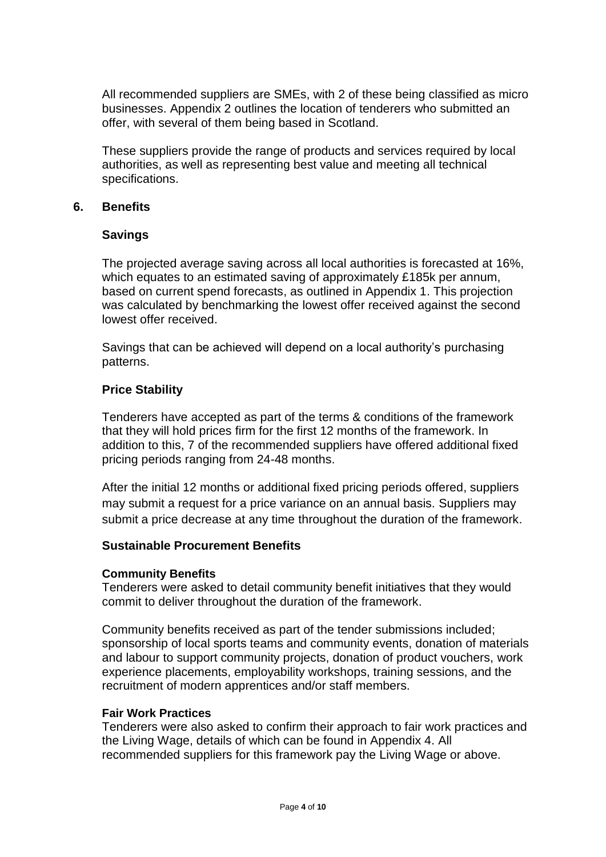All recommended suppliers are SMEs, with 2 of these being classified as micro businesses. Appendix 2 outlines the location of tenderers who submitted an offer, with several of them being based in Scotland.

These suppliers provide the range of products and services required by local authorities, as well as representing best value and meeting all technical specifications.

### **6. Benefits**

#### **Savings**

The projected average saving across all local authorities is forecasted at 16%, which equates to an estimated saving of approximately £185k per annum, based on current spend forecasts, as outlined in Appendix 1. This projection was calculated by benchmarking the lowest offer received against the second lowest offer received.

Savings that can be achieved will depend on a local authority's purchasing patterns.

#### **Price Stability**

Tenderers have accepted as part of the terms & conditions of the framework that they will hold prices firm for the first 12 months of the framework. In addition to this, 7 of the recommended suppliers have offered additional fixed pricing periods ranging from 24-48 months.

After the initial 12 months or additional fixed pricing periods offered, suppliers may submit a request for a price variance on an annual basis. Suppliers may submit a price decrease at any time throughout the duration of the framework.

#### **Sustainable Procurement Benefits**

#### **Community Benefits**

Tenderers were asked to detail community benefit initiatives that they would commit to deliver throughout the duration of the framework.

Community benefits received as part of the tender submissions included; sponsorship of local sports teams and community events, donation of materials and labour to support community projects, donation of product vouchers, work experience placements, employability workshops, training sessions, and the recruitment of modern apprentices and/or staff members.

#### **Fair Work Practices**

Tenderers were also asked to confirm their approach to fair work practices and the Living Wage, details of which can be found in Appendix 4. All recommended suppliers for this framework pay the Living Wage or above.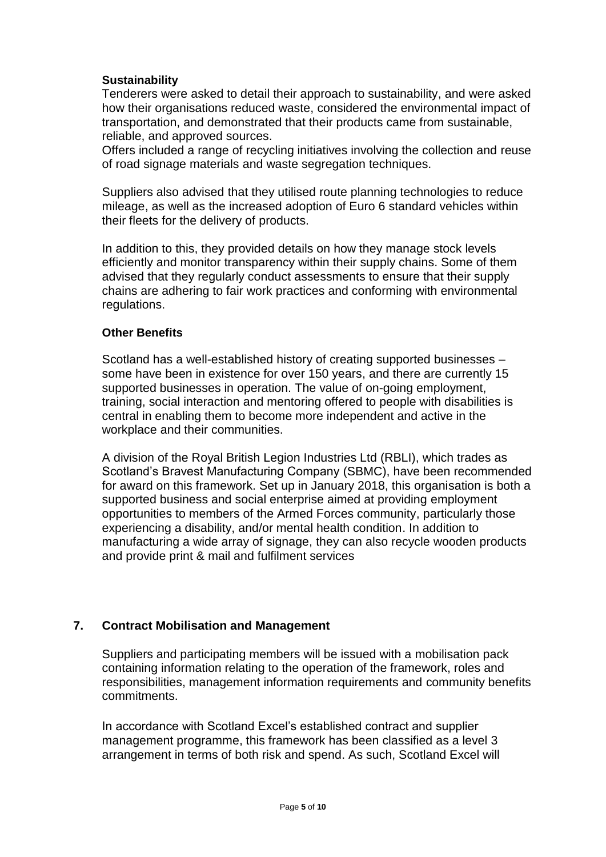### **Sustainability**

Tenderers were asked to detail their approach to sustainability, and were asked how their organisations reduced waste, considered the environmental impact of transportation, and demonstrated that their products came from sustainable, reliable, and approved sources.

Offers included a range of recycling initiatives involving the collection and reuse of road signage materials and waste segregation techniques.

Suppliers also advised that they utilised route planning technologies to reduce mileage, as well as the increased adoption of Euro 6 standard vehicles within their fleets for the delivery of products.

In addition to this, they provided details on how they manage stock levels efficiently and monitor transparency within their supply chains. Some of them advised that they regularly conduct assessments to ensure that their supply chains are adhering to fair work practices and conforming with environmental regulations.

#### **Other Benefits**

Scotland has a well-established history of creating supported businesses – some have been in existence for over 150 years, and there are currently 15 supported businesses in operation. The value of on-going employment, training, social interaction and mentoring offered to people with disabilities is central in enabling them to become more independent and active in the workplace and their communities.

A division of the Royal British Legion Industries Ltd (RBLI), which trades as Scotland's Bravest Manufacturing Company (SBMC), have been recommended for award on this framework. Set up in January 2018, this organisation is both a supported business and social enterprise aimed at providing employment opportunities to members of the Armed Forces community, particularly those experiencing a disability, and/or mental health condition. In addition to manufacturing a wide array of signage, they can also recycle wooden products and provide print & mail and fulfilment services

### **7. Contract Mobilisation and Management**

Suppliers and participating members will be issued with a mobilisation pack containing information relating to the operation of the framework, roles and responsibilities, management information requirements and community benefits commitments.

In accordance with Scotland Excel's established contract and supplier management programme, this framework has been classified as a level 3 arrangement in terms of both risk and spend. As such, Scotland Excel will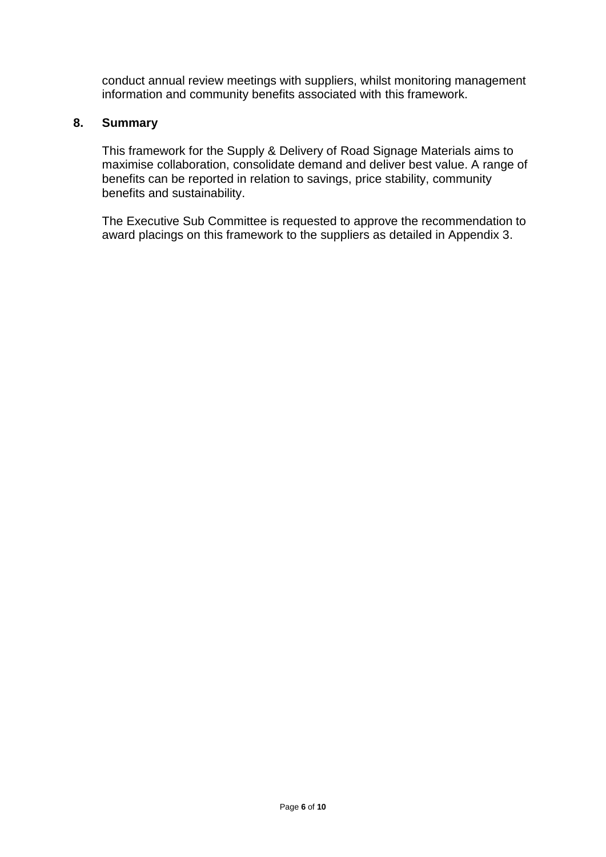conduct annual review meetings with suppliers, whilst monitoring management information and community benefits associated with this framework.

## **8. Summary**

This framework for the Supply & Delivery of Road Signage Materials aims to maximise collaboration, consolidate demand and deliver best value. A range of benefits can be reported in relation to savings, price stability, community benefits and sustainability.

The Executive Sub Committee is requested to approve the recommendation to award placings on this framework to the suppliers as detailed in Appendix 3.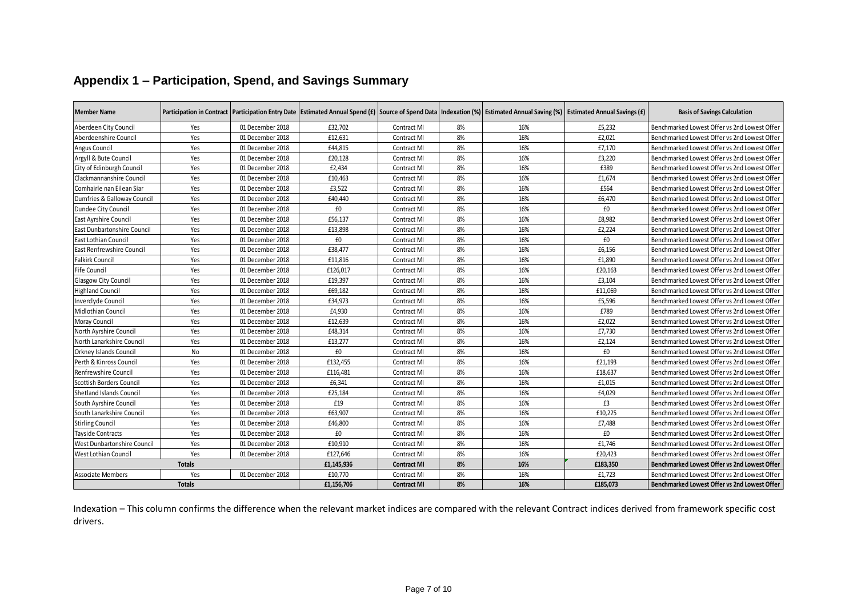| <b>Member Name</b>               |               |                  |            |                    |    | Participation in Contract   Participation Entry Date   Estimated Annual Spend (£)   Source of Spend Data   Indexation (%)   Estimated Annual Saving (%)   Estimated Annual Savings (£) |          | <b>Basis of Savings Calculation</b>          |
|----------------------------------|---------------|------------------|------------|--------------------|----|----------------------------------------------------------------------------------------------------------------------------------------------------------------------------------------|----------|----------------------------------------------|
| Aberdeen City Council            | Yes           | 01 December 2018 | £32,702    | Contract MI        | 8% | 16%                                                                                                                                                                                    | £5,232   | Benchmarked Lowest Offer vs 2nd Lowest Offer |
| Aberdeenshire Council            | Yes           | 01 December 2018 | £12,631    | Contract MI        | 8% | 16%                                                                                                                                                                                    | £2,021   | Benchmarked Lowest Offer vs 2nd Lowest Offer |
| Angus Council                    | Yes           | 01 December 2018 | £44,815    | Contract MI        | 8% | 16%                                                                                                                                                                                    | £7,170   | Benchmarked Lowest Offer vs 2nd Lowest Offer |
| Argyll & Bute Council            | Yes           | 01 December 2018 | £20,128    | Contract MI        | 8% | 16%                                                                                                                                                                                    | £3,220   | Benchmarked Lowest Offer vs 2nd Lowest Offer |
| City of Edinburgh Council        | Yes           | 01 December 2018 | £2,434     | Contract MI        | 8% | 16%                                                                                                                                                                                    | £389     | Benchmarked Lowest Offer vs 2nd Lowest Offer |
| Clackmannanshire Council         | Yes           | 01 December 2018 | £10,463    | Contract MI        | 8% | 16%                                                                                                                                                                                    | £1,674   | Benchmarked Lowest Offer vs 2nd Lowest Offer |
| Comhairle nan Eilean Siar        | Yes           | 01 December 2018 | £3,522     | Contract MI        | 8% | 16%                                                                                                                                                                                    | £564     | Benchmarked Lowest Offer vs 2nd Lowest Offer |
| Dumfries & Galloway Council      | Yes           | 01 December 2018 | £40,440    | Contract MI        | 8% | 16%                                                                                                                                                                                    | £6,470   | Benchmarked Lowest Offer vs 2nd Lowest Offer |
| Dundee City Council              | Yes           | 01 December 2018 | £0         | Contract MI        | 8% | 16%                                                                                                                                                                                    | £0       | Benchmarked Lowest Offer vs 2nd Lowest Offer |
| East Ayrshire Council            | Yes           | 01 December 2018 | £56,137    | Contract MI        | 8% | 16%                                                                                                                                                                                    | £8,982   | Benchmarked Lowest Offer vs 2nd Lowest Offer |
| East Dunbartonshire Council      | Yes           | 01 December 2018 | £13,898    | Contract MI        | 8% | 16%                                                                                                                                                                                    | £2,224   | Benchmarked Lowest Offer vs 2nd Lowest Offer |
| <b>East Lothian Council</b>      | Yes           | 01 December 2018 | £0         | Contract MI        | 8% | 16%                                                                                                                                                                                    | £0       | Benchmarked Lowest Offer vs 2nd Lowest Offer |
| <b>East Renfrewshire Council</b> | Yes           | 01 December 2018 | £38,477    | Contract MI        | 8% | 16%                                                                                                                                                                                    | £6,156   | Benchmarked Lowest Offer vs 2nd Lowest Offer |
| <b>Falkirk Council</b>           | Yes           | 01 December 2018 | £11,816    | Contract MI        | 8% | 16%                                                                                                                                                                                    | £1,890   | Benchmarked Lowest Offer vs 2nd Lowest Offer |
| <b>Fife Council</b>              | Yes           | 01 December 2018 | £126,017   | Contract MI        | 8% | 16%                                                                                                                                                                                    | £20,163  | Benchmarked Lowest Offer vs 2nd Lowest Offer |
| Glasgow City Council             | Yes           | 01 December 2018 | £19,397    | Contract MI        | 8% | 16%                                                                                                                                                                                    | £3,104   | Benchmarked Lowest Offer vs 2nd Lowest Offer |
| <b>Highland Council</b>          | Yes           | 01 December 2018 | £69,182    | Contract MI        | 8% | 16%                                                                                                                                                                                    | £11,069  | Benchmarked Lowest Offer vs 2nd Lowest Offer |
| <b>Inverclyde Council</b>        | Yes           | 01 December 2018 | £34,973    | Contract MI        | 8% | 16%                                                                                                                                                                                    | £5,596   | Benchmarked Lowest Offer vs 2nd Lowest Offer |
| Midlothian Council               | Yes           | 01 December 2018 | £4,930     | Contract MI        | 8% | 16%                                                                                                                                                                                    | £789     | Benchmarked Lowest Offer vs 2nd Lowest Offer |
| Moray Council                    | Yes           | 01 December 2018 | £12,639    | Contract MI        | 8% | 16%                                                                                                                                                                                    | £2.022   | Benchmarked Lowest Offer vs 2nd Lowest Offer |
| North Ayrshire Council           | Yes           | 01 December 2018 | £48,314    | Contract MI        | 8% | 16%                                                                                                                                                                                    | £7,730   | Benchmarked Lowest Offer vs 2nd Lowest Offer |
| North Lanarkshire Council        | Yes           | 01 December 2018 | £13,277    | Contract MI        | 8% | 16%                                                                                                                                                                                    | £2,124   | Benchmarked Lowest Offer vs 2nd Lowest Offer |
| Orkney Islands Council           | No            | 01 December 2018 | £0         | Contract MI        | 8% | 16%                                                                                                                                                                                    | £0       | Benchmarked Lowest Offer vs 2nd Lowest Offer |
| Perth & Kinross Council          | Yes           | 01 December 2018 | £132,455   | Contract MI        | 8% | 16%                                                                                                                                                                                    | £21,193  | Benchmarked Lowest Offer vs 2nd Lowest Offer |
| Renfrewshire Council             | Yes           | 01 December 2018 | £116,481   | Contract MI        | 8% | 16%                                                                                                                                                                                    | £18,637  | Benchmarked Lowest Offer vs 2nd Lowest Offer |
| Scottish Borders Council         | Yes           | 01 December 2018 | £6,341     | Contract MI        | 8% | 16%                                                                                                                                                                                    | £1,015   | Benchmarked Lowest Offer vs 2nd Lowest Offer |
| Shetland Islands Council         | Yes           | 01 December 2018 | £25,184    | Contract MI        | 8% | 16%                                                                                                                                                                                    | £4,029   | Benchmarked Lowest Offer vs 2nd Lowest Offer |
| South Ayrshire Council           | Yes           | 01 December 2018 | £19        | Contract MI        | 8% | 16%                                                                                                                                                                                    | £3       | Benchmarked Lowest Offer vs 2nd Lowest Offer |
| South Lanarkshire Council        | Yes           | 01 December 2018 | £63,907    | Contract MI        | 8% | 16%                                                                                                                                                                                    | £10,225  | Benchmarked Lowest Offer vs 2nd Lowest Offer |
| <b>Stirling Council</b>          | Yes           | 01 December 2018 | £46,800    | Contract MI        | 8% | 16%                                                                                                                                                                                    | £7,488   | Benchmarked Lowest Offer vs 2nd Lowest Offer |
| Tayside Contracts                | Yes           | 01 December 2018 | £0         | Contract MI        | 8% | 16%                                                                                                                                                                                    | £0       | Benchmarked Lowest Offer vs 2nd Lowest Offer |
| West Dunbartonshire Council      | Yes           | 01 December 2018 | £10,910    | Contract MI        | 8% | 16%                                                                                                                                                                                    | £1,746   | Benchmarked Lowest Offer vs 2nd Lowest Offer |
| West Lothian Council             | Yes           | 01 December 2018 | £127,646   | Contract MI        | 8% | 16%                                                                                                                                                                                    | £20,423  | Benchmarked Lowest Offer vs 2nd Lowest Offer |
|                                  | <b>Totals</b> |                  | £1,145,936 | <b>Contract MI</b> | 8% | 16%                                                                                                                                                                                    | £183,350 | Benchmarked Lowest Offer vs 2nd Lowest Offer |
| <b>Associate Members</b>         | Yes           | 01 December 2018 | £10,770    | Contract MI        | 8% | 16%                                                                                                                                                                                    | £1,723   | Benchmarked Lowest Offer vs 2nd Lowest Offer |
|                                  | <b>Totals</b> |                  | £1,156,706 | <b>Contract MI</b> | 8% | 16%                                                                                                                                                                                    | £185,073 | Benchmarked Lowest Offer vs 2nd Lowest Offer |

## **Appendix 1 – Participation, Spend, and Savings Summary**

Indexation – This column confirms the difference when the relevant market indices are compared with the relevant Contract indices derived from framework specific cost drivers.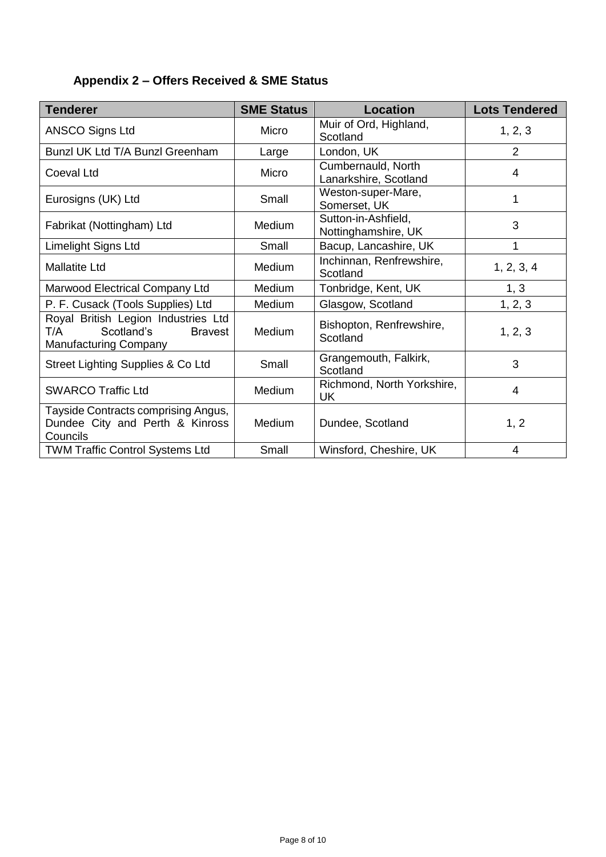## **Appendix 2 – Offers Received & SME Status**

| <b>Tenderer</b>                                                                                            | <b>SME Status</b> | <b>Location</b>                             | <b>Lots Tendered</b> |
|------------------------------------------------------------------------------------------------------------|-------------------|---------------------------------------------|----------------------|
| <b>ANSCO Signs Ltd</b>                                                                                     | Micro             | Muir of Ord, Highland,<br>Scotland          | 1, 2, 3              |
| Bunzl UK Ltd T/A Bunzl Greenham                                                                            | Large             | London, UK                                  | $\overline{2}$       |
| <b>Coeval Ltd</b>                                                                                          | Micro             | Cumbernauld, North<br>Lanarkshire, Scotland | 4                    |
| Eurosigns (UK) Ltd                                                                                         | Small             | Weston-super-Mare,<br>Somerset, UK          | 1                    |
| Fabrikat (Nottingham) Ltd                                                                                  | <b>Medium</b>     | Sutton-in-Ashfield,<br>Nottinghamshire, UK  | 3                    |
| Limelight Signs Ltd                                                                                        | Small             | Bacup, Lancashire, UK                       | 1                    |
| <b>Mallatite Ltd</b>                                                                                       | <b>Medium</b>     | Inchinnan, Renfrewshire,<br>Scotland        | 1, 2, 3, 4           |
| Marwood Electrical Company Ltd                                                                             | <b>Medium</b>     | Tonbridge, Kent, UK                         | 1, 3                 |
| P. F. Cusack (Tools Supplies) Ltd                                                                          | Medium            | Glasgow, Scotland                           | 1, 2, 3              |
| Royal British Legion Industries Ltd<br>Scotland's<br>T/A<br><b>Bravest</b><br><b>Manufacturing Company</b> | <b>Medium</b>     | Bishopton, Renfrewshire,<br>Scotland        | 1, 2, 3              |
| Street Lighting Supplies & Co Ltd                                                                          | Small             | Grangemouth, Falkirk,<br>Scotland           | 3                    |
| <b>SWARCO Traffic Ltd</b>                                                                                  | <b>Medium</b>     | Richmond, North Yorkshire,<br><b>UK</b>     | $\overline{4}$       |
| Tayside Contracts comprising Angus,<br>Dundee City and Perth & Kinross<br>Councils                         | Medium            | Dundee, Scotland                            | 1, 2                 |
| <b>TWM Traffic Control Systems Ltd</b>                                                                     | Small             | Winsford, Cheshire, UK                      | $\overline{4}$       |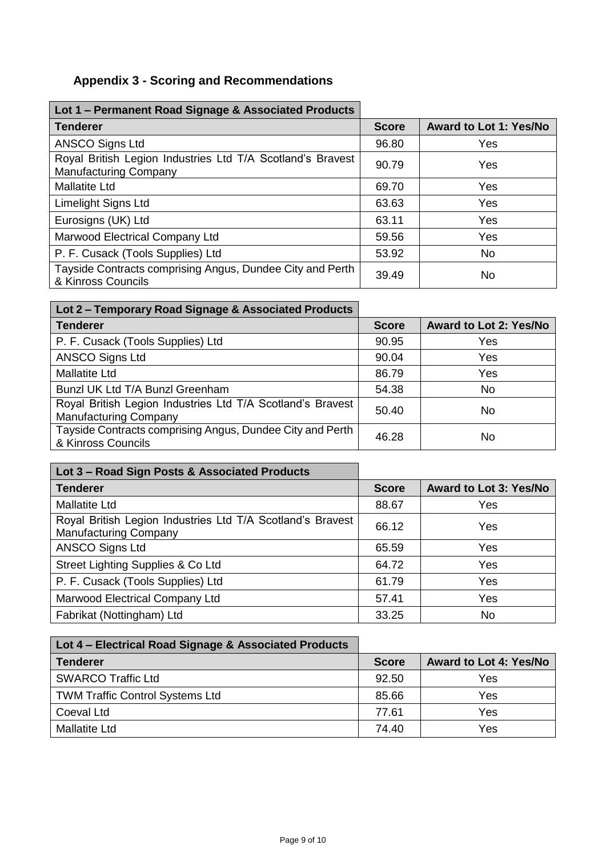# **Appendix 3 - Scoring and Recommendations**

| Lot 1 - Permanent Road Signage & Associated Products                                       |              |                               |
|--------------------------------------------------------------------------------------------|--------------|-------------------------------|
| <b>Tenderer</b>                                                                            | <b>Score</b> | <b>Award to Lot 1: Yes/No</b> |
| <b>ANSCO Signs Ltd</b>                                                                     | 96.80        | Yes                           |
| Royal British Legion Industries Ltd T/A Scotland's Bravest<br><b>Manufacturing Company</b> | 90.79        | Yes                           |
| <b>Mallatite Ltd</b>                                                                       | 69.70        | <b>Yes</b>                    |
| <b>Limelight Signs Ltd</b>                                                                 | 63.63        | Yes                           |
| Eurosigns (UK) Ltd                                                                         | 63.11        | Yes                           |
| Marwood Electrical Company Ltd                                                             | 59.56        | Yes                           |
| P. F. Cusack (Tools Supplies) Ltd                                                          | 53.92        | <b>No</b>                     |
| Tayside Contracts comprising Angus, Dundee City and Perth<br>& Kinross Councils            | 39.49        | <b>No</b>                     |

| Lot 2 - Temporary Road Signage & Associated Products                                       |              |                               |
|--------------------------------------------------------------------------------------------|--------------|-------------------------------|
| <b>Tenderer</b>                                                                            | <b>Score</b> | <b>Award to Lot 2: Yes/No</b> |
| P. F. Cusack (Tools Supplies) Ltd                                                          | 90.95        | Yes                           |
| <b>ANSCO Signs Ltd</b>                                                                     | 90.04        | Yes                           |
| <b>Mallatite Ltd</b>                                                                       | 86.79        | Yes                           |
| Bunzl UK Ltd T/A Bunzl Greenham                                                            | 54.38        | No.                           |
| Royal British Legion Industries Ltd T/A Scotland's Bravest<br><b>Manufacturing Company</b> | 50.40        | No                            |
| Tayside Contracts comprising Angus, Dundee City and Perth<br>& Kinross Councils            | 46.28        | No                            |

| Lot 3 - Road Sign Posts & Associated Products                                              |              |                               |
|--------------------------------------------------------------------------------------------|--------------|-------------------------------|
| <b>Tenderer</b>                                                                            | <b>Score</b> | <b>Award to Lot 3: Yes/No</b> |
| <b>Mallatite Ltd</b>                                                                       | 88.67        | Yes                           |
| Royal British Legion Industries Ltd T/A Scotland's Bravest<br><b>Manufacturing Company</b> | 66.12        | Yes                           |
| <b>ANSCO Signs Ltd</b>                                                                     | 65.59        | Yes                           |
| Street Lighting Supplies & Co Ltd                                                          | 64.72        | Yes                           |
| P. F. Cusack (Tools Supplies) Ltd                                                          | 61.79        | Yes                           |
| Marwood Electrical Company Ltd                                                             | 57.41        | Yes                           |
| Fabrikat (Nottingham) Ltd                                                                  | 33.25        | No                            |

| Lot 4 – Electrical Road Signage & Associated Products |              |                               |
|-------------------------------------------------------|--------------|-------------------------------|
| <b>Tenderer</b>                                       | <b>Score</b> | <b>Award to Lot 4: Yes/No</b> |
| <b>SWARCO Traffic Ltd</b>                             | 92.50        | Yes                           |
| <b>TWM Traffic Control Systems Ltd</b>                | 85.66        | Yes                           |
| Coeval Ltd                                            | 77.61        | Yes                           |
| <b>Mallatite Ltd</b>                                  | 74.40        | Yes                           |